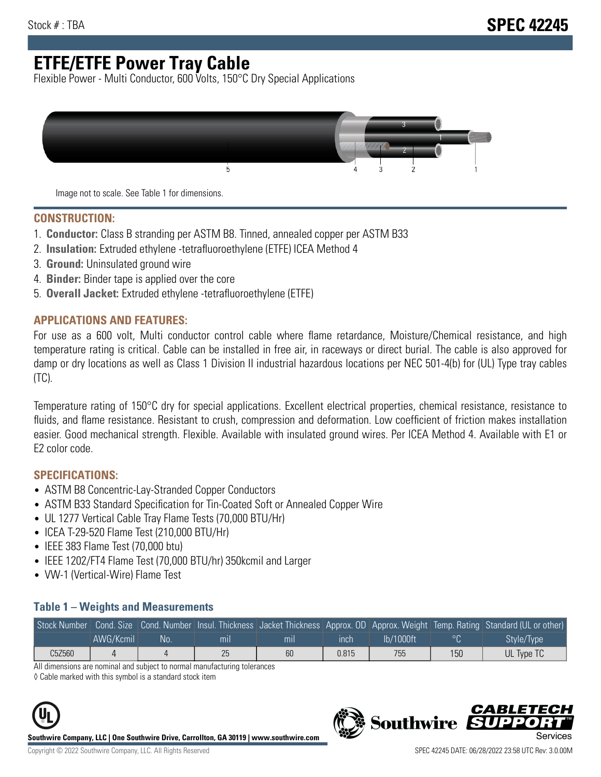# **ETFE/ETFE Power Tray Cable**

Flexible Power - Multi Conductor, 600 Volts, 150°C Dry Special Applications



Image not to scale. See Table 1 for dimensions.

#### **CONSTRUCTION:**

- 1. **Conductor:** Class B stranding per ASTM B8. Tinned, annealed copper per ASTM B33
- 2. **Insulation:** Extruded ethylene -tetrafluoroethylene (ETFE) ICEA Method 4
- 3. **Ground:** Uninsulated ground wire
- 4. **Binder:** Binder tape is applied over the core
- 5. **Overall Jacket:** Extruded ethylene -tetrafluoroethylene (ETFE)

#### **APPLICATIONS AND FEATURES:**

For use as a 600 volt, Multi conductor control cable where flame retardance, Moisture/Chemical resistance, and high temperature rating is critical. Cable can be installed in free air, in raceways or direct burial. The cable is also approved for damp or dry locations as well as Class 1 Division II industrial hazardous locations per NEC 501-4(b) for (UL) Type tray cables (TC).

Temperature rating of 150°C dry for special applications. Excellent electrical properties, chemical resistance, resistance to fluids, and flame resistance. Resistant to crush, compression and deformation. Low coefficient of friction makes installation easier. Good mechanical strength. Flexible. Available with insulated ground wires. Per ICEA Method 4. Available with E1 or E2 color code.

### **SPECIFICATIONS:**

- ASTM B8 Concentric-Lay-Stranded Copper Conductors
- ASTM B33 Standard Specification for Tin-Coated Soft or Annealed Copper Wire
- UL 1277 Vertical Cable Tray Flame Tests (70,000 BTU/Hr)
- ICEA T-29-520 Flame Test (210,000 BTU/Hr)
- IEEE 383 Flame Test (70,000 btu)
- IEEE 1202/FT4 Flame Test (70,000 BTU/hr) 350kcmil and Larger
- VW-1 (Vertical-Wire) Flame Test

#### **Table 1 – Weights and Measurements**

|        |           |     |     |     |       |           |     | Stock Number Cond. Size Cond. Number Insul. Thickness Jacket Thickness Approx. OD Approx. Weight Temp. Rating Standard (UL or other) |
|--------|-----------|-----|-----|-----|-------|-----------|-----|--------------------------------------------------------------------------------------------------------------------------------------|
|        | AWG/Kcmil | No. | mıl | mil | inch  | lb/1000ft | ്റ  | Style/Type                                                                                                                           |
| C5Z560 |           | ப   | 25  | 60  | 0.815 | 755       | 150 | UL Type TC                                                                                                                           |

All dimensions are nominal and subject to normal manufacturing tolerances

◊ Cable marked with this symbol is a standard stock item



**Southwire Company, LLC | One Southwire Drive, Carrollton, GA 30119 | www.southwire.com**